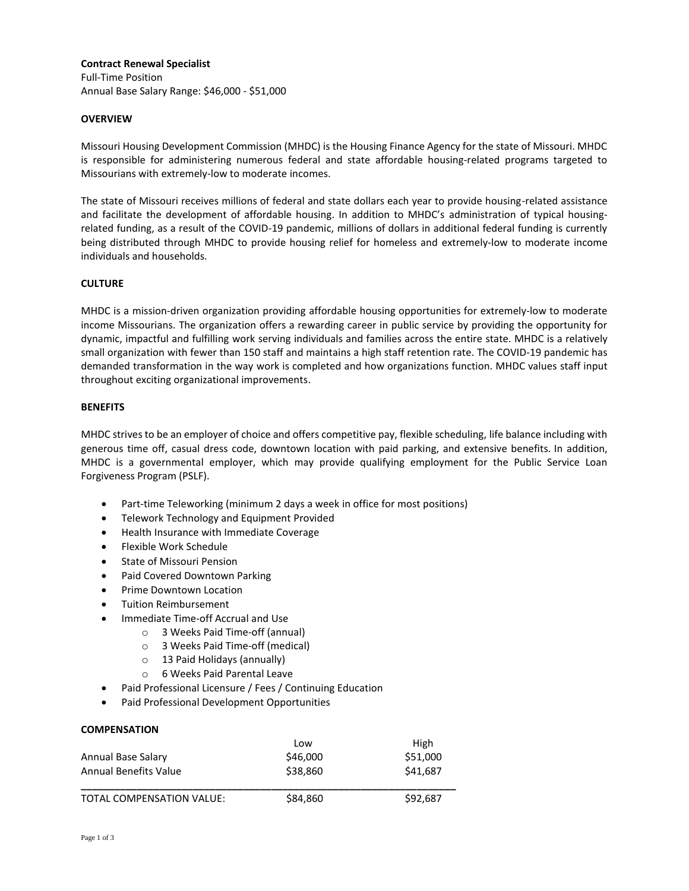## **Contract Renewal Specialist**

Full-Time Position Annual Base Salary Range: \$46,000 - \$51,000

## **OVERVIEW**

Missouri Housing Development Commission (MHDC) is the Housing Finance Agency for the state of Missouri. MHDC is responsible for administering numerous federal and state affordable housing-related programs targeted to Missourians with extremely-low to moderate incomes.

The state of Missouri receives millions of federal and state dollars each year to provide housing-related assistance and facilitate the development of affordable housing. In addition to MHDC's administration of typical housingrelated funding, as a result of the COVID-19 pandemic, millions of dollars in additional federal funding is currently being distributed through MHDC to provide housing relief for homeless and extremely-low to moderate income individuals and households.

# **CULTURE**

MHDC is a mission-driven organization providing affordable housing opportunities for extremely-low to moderate income Missourians. The organization offers a rewarding career in public service by providing the opportunity for dynamic, impactful and fulfilling work serving individuals and families across the entire state. MHDC is a relatively small organization with fewer than 150 staff and maintains a high staff retention rate. The COVID-19 pandemic has demanded transformation in the way work is completed and how organizations function. MHDC values staff input throughout exciting organizational improvements.

### **BENEFITS**

MHDC strives to be an employer of choice and offers competitive pay, flexible scheduling, life balance including with generous time off, casual dress code, downtown location with paid parking, and extensive benefits. In addition, MHDC is a governmental employer, which may provide qualifying employment for the Public Service Loan Forgiveness Program (PSLF).

- Part-time Teleworking (minimum 2 days a week in office for most positions)
- Telework Technology and Equipment Provided
- Health Insurance with Immediate Coverage
- Flexible Work Schedule
- State of Missouri Pension
- Paid Covered Downtown Parking
- Prime Downtown Location
- **•** Tuition Reimbursement
- Immediate Time-off Accrual and Use
	- o 3 Weeks Paid Time-off (annual)
	- o 3 Weeks Paid Time-off (medical)
	- o 13 Paid Holidays (annually)
	- o 6 Weeks Paid Parental Leave
- Paid Professional Licensure / Fees / Continuing Education
- Paid Professional Development Opportunities

#### **COMPENSATION**

|                              | Low      | High     |
|------------------------------|----------|----------|
| Annual Base Salary           | \$46,000 | \$51,000 |
| <b>Annual Benefits Value</b> | \$38,860 | \$41.687 |
| TOTAL COMPENSATION VALUE:    | \$84,860 | \$92.687 |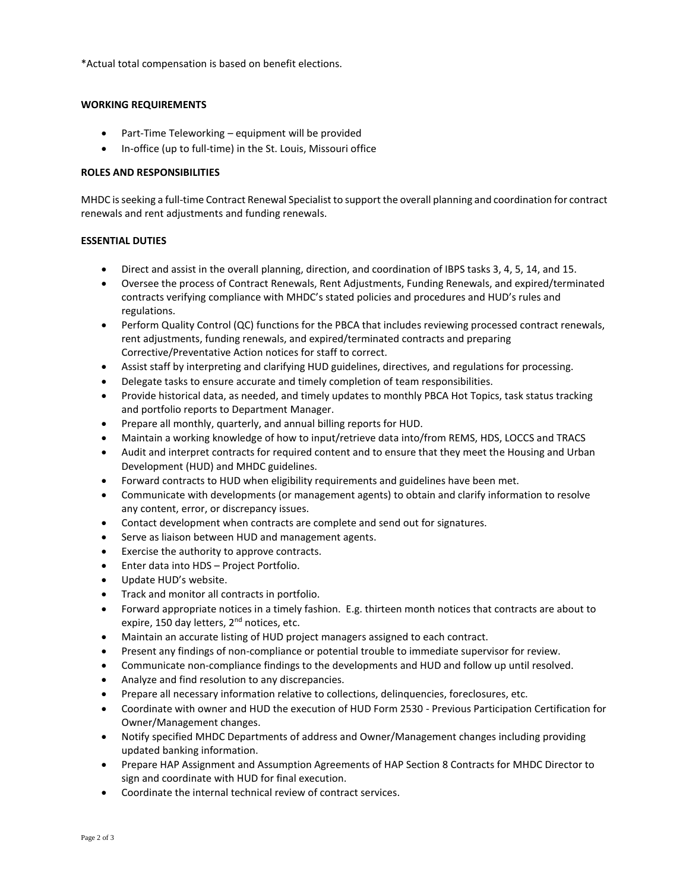\*Actual total compensation is based on benefit elections.

# **WORKING REQUIREMENTS**

- Part-Time Teleworking equipment will be provided
- In-office (up to full-time) in the St. Louis, Missouri office

## **ROLES AND RESPONSIBILITIES**

MHDC is seeking a full-time Contract Renewal Specialist to support the overall planning and coordination for contract renewals and rent adjustments and funding renewals.

# **ESSENTIAL DUTIES**

- Direct and assist in the overall planning, direction, and coordination of IBPS tasks 3, 4, 5, 14, and 15.
- Oversee the process of Contract Renewals, Rent Adjustments, Funding Renewals, and expired/terminated contracts verifying compliance with MHDC's stated policies and procedures and HUD's rules and regulations.
- Perform Quality Control (QC) functions for the PBCA that includes reviewing processed contract renewals, rent adjustments, funding renewals, and expired/terminated contracts and preparing Corrective/Preventative Action notices for staff to correct.
- Assist staff by interpreting and clarifying HUD guidelines, directives, and regulations for processing.
- Delegate tasks to ensure accurate and timely completion of team responsibilities.
- Provide historical data, as needed, and timely updates to monthly PBCA Hot Topics, task status tracking and portfolio reports to Department Manager.
- Prepare all monthly, quarterly, and annual billing reports for HUD.
- Maintain a working knowledge of how to input/retrieve data into/from REMS, HDS, LOCCS and TRACS
- Audit and interpret contracts for required content and to ensure that they meet the Housing and Urban Development (HUD) and MHDC guidelines.
- Forward contracts to HUD when eligibility requirements and guidelines have been met.
- Communicate with developments (or management agents) to obtain and clarify information to resolve any content, error, or discrepancy issues.
- Contact development when contracts are complete and send out for signatures.
- Serve as liaison between HUD and management agents.
- Exercise the authority to approve contracts.
- Enter data into HDS Project Portfolio.
- Update HUD's website.
- Track and monitor all contracts in portfolio.
- Forward appropriate notices in a timely fashion. E.g. thirteen month notices that contracts are about to expire, 150 day letters, 2<sup>nd</sup> notices, etc.
- Maintain an accurate listing of HUD project managers assigned to each contract.
- Present any findings of non-compliance or potential trouble to immediate supervisor for review.
- Communicate non-compliance findings to the developments and HUD and follow up until resolved.
- Analyze and find resolution to any discrepancies.
- Prepare all necessary information relative to collections, delinquencies, foreclosures, etc.
- Coordinate with owner and HUD the execution of HUD Form 2530 Previous Participation Certification for Owner/Management changes.
- Notify specified MHDC Departments of address and Owner/Management changes including providing updated banking information.
- Prepare HAP Assignment and Assumption Agreements of HAP Section 8 Contracts for MHDC Director to sign and coordinate with HUD for final execution.
- Coordinate the internal technical review of contract services.